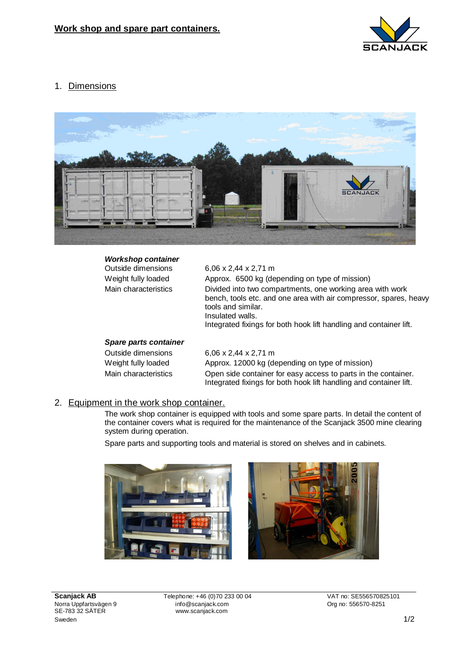

1. Dimensions



| <b>Workshop container</b><br>Outside dimensions | 6,06 x 2,44 x 2,71 m                                                                                                                                                                                                                           |
|-------------------------------------------------|------------------------------------------------------------------------------------------------------------------------------------------------------------------------------------------------------------------------------------------------|
| Weight fully loaded                             | Approx. 6500 kg (depending on type of mission)                                                                                                                                                                                                 |
| Main characteristics                            | Divided into two compartments, one working area with work<br>bench, tools etc. and one area with air compressor, spares, heavy<br>tools and similar.<br>Insulated walls.<br>Integrated fixings for both hook lift handling and container lift. |
|                                                 |                                                                                                                                                                                                                                                |
| Snaro narte containor                           |                                                                                                                                                                                                                                                |

## *Spare parts container*

Outside dimensions 6,06 x 2,44 x 2,71 m Weight fully loaded Approx. 12000 kg (depending on type of mission) Main characteristics Open side container for easy access to parts in the container. Integrated fixings for both hook lift handling and container lift.

## 2. Equipment in the work shop container.

The work shop container is equipped with tools and some spare parts. In detail the content of the container covers what is required for the maintenance of the Scanjack 3500 mine clearing system during operation.

Spare parts and supporting tools and material is stored on shelves and in cabinets.